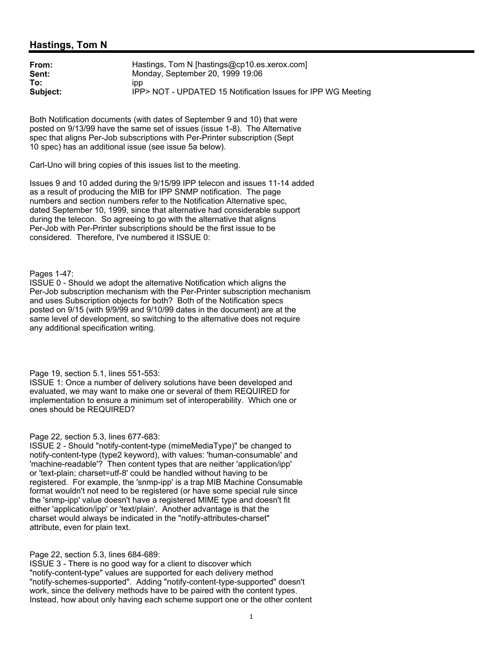# **Hastings, Tom N**

| From:    | Hastings, Tom N [hastings@cp10.es.xerox.com]                 |
|----------|--------------------------------------------------------------|
| Sent:    | Monday, September 20, 1999 19:06                             |
| To:      | ipp                                                          |
| Subject: | IPP> NOT - UPDATED 15 Notification Issues for IPP WG Meeting |

Both Notification documents (with dates of September 9 and 10) that were posted on 9/13/99 have the same set of issues (issue 1-8). The Alternative spec that aligns Per-Job subscriptions with Per-Printer subscription (Sept 10 spec) has an additional issue (see issue 5a below).

Carl-Uno will bring copies of this issues list to the meeting.

Issues 9 and 10 added during the 9/15/99 IPP telecon and issues 11-14 added as a result of producing the MIB for IPP SNMP notification. The page numbers and section numbers refer to the Notification Alternative spec, dated September 10, 1999, since that alternative had considerable support during the telecon. So agreeing to go with the alternative that aligns Per-Job with Per-Printer subscriptions should be the first issue to be considered. Therefore, I've numbered it ISSUE 0:

Pages 1-47:

ISSUE 0 - Should we adopt the alternative Notification which aligns the Per-Job subscription mechanism with the Per-Printer subscription mechanism and uses Subscription objects for both? Both of the Notification specs posted on 9/15 (with 9/9/99 and 9/10/99 dates in the document) are at the same level of development, so switching to the alternative does not require any additional specification writing.

Page 19, section 5.1, lines 551-553:

ISSUE 1: Once a number of delivery solutions have been developed and evaluated, we may want to make one or several of them REQUIRED for implementation to ensure a minimum set of interoperability. Which one or ones should be REQUIRED?

## Page 22, section 5.3, lines 677-683:

ISSUE 2 - Should "notify-content-type (mimeMediaType)" be changed to notify-content-type (type2 keyword), with values: 'human-consumable' and 'machine-readable'? Then content types that are neither 'application/ipp' or 'text-plain; charset=utf-8' could be handled without having to be registered. For example, the 'snmp-ipp' is a trap MIB Machine Consumable format wouldn't not need to be registered (or have some special rule since the 'snmp-ipp' value doesn't have a registered MIME type and doesn't fit either 'application/ipp' or 'text/plain'. Another advantage is that the charset would always be indicated in the "notify-attributes-charset" attribute, even for plain text.

Page 22, section 5.3, lines 684-689:

ISSUE 3 - There is no good way for a client to discover which "notify-content-type" values are supported for each delivery method "notify-schemes-supported". Adding "notify-content-type-supported" doesn't work, since the delivery methods have to be paired with the content types. Instead, how about only having each scheme support one or the other content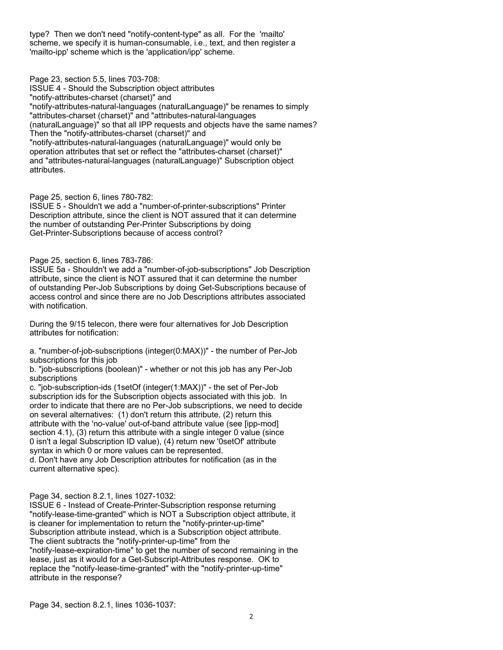type? Then we don't need "notify-content-type" as all. For the 'mailto' scheme, we specify it is human-consumable, i.e., text, and then register a 'mailto-ipp' scheme which is the 'application/ipp' scheme.

Page 23, section 5.5, lines 703-708:

ISSUE 4 - Should the Subscription object attributes "notify-attributes-charset (charset)" and "notify-attributes-natural-languages (naturalLanguage)" be renames to simply "attributes-charset (charset)" and "attributes-natural-languages (naturalLanguage)" so that all IPP requests and objects have the same names? Then the "notify-attributes-charset (charset)" and "notify-attributes-natural-languages (naturalLanguage)" would only be operation attributes that set or reflect the "attributes-charset (charset)" and "attributes-natural-languages (naturalLanguage)" Subscription object attributes.

Page 25, section 6, lines 780-782:

ISSUE 5 - Shouldn't we add a "number-of-printer-subscriptions" Printer Description attribute, since the client is NOT assured that it can determine the number of outstanding Per-Printer Subscriptions by doing Get-Printer-Subscriptions because of access control?

Page 25, section 6, lines 783-786:

ISSUE 5a - Shouldn't we add a "number-of-job-subscriptions" Job Description attribute, since the client is NOT assured that it can determine the number of outstanding Per-Job Subscriptions by doing Get-Subscriptions because of access control and since there are no Job Descriptions attributes associated with notification.

During the 9/15 telecon, there were four alternatives for Job Description attributes for notification:

a. "number-of-job-subscriptions (integer(0:MAX))" - the number of Per-Job subscriptions for this job

b. "job-subscriptions (boolean)" - whether or not this job has any Per-Job subscriptions

c. "job-subscription-ids (1setOf (integer(1:MAX))" - the set of Per-Job subscription ids for the Subscription objects associated with this job. In order to indicate that there are no Per-Job subscriptions, we need to decide on several alternatives: (1) don't return this attribute, (2) return this attribute with the 'no-value' out-of-band attribute value (see [ipp-mod] section 4.1), (3) return this attribute with a single integer 0 value (since 0 isn't a legal Subscription ID value), (4) return new '0setOf' attribute syntax in which 0 or more values can be represented. d. Don't have any Job Description attributes for notification (as in the current alternative spec).

Page 34, section 8.2.1, lines 1027-1032:

ISSUE 6 - Instead of Create-Printer-Subscription response returning "notify-lease-time-granted" which is NOT a Subscription object attribute, it is cleaner for implementation to return the "notify-printer-up-time" Subscription attribute instead, which is a Subscription object attribute. The client subtracts the "notify-printer-up-time" from the "notify-lease-expiration-time" to get the number of second remaining in the lease, just as it would for a Get-Subscript-Attributes response. OK to replace the "notify-lease-time-granted" with the "notify-printer-up-time" attribute in the response?

Page 34, section 8.2.1, lines 1036-1037: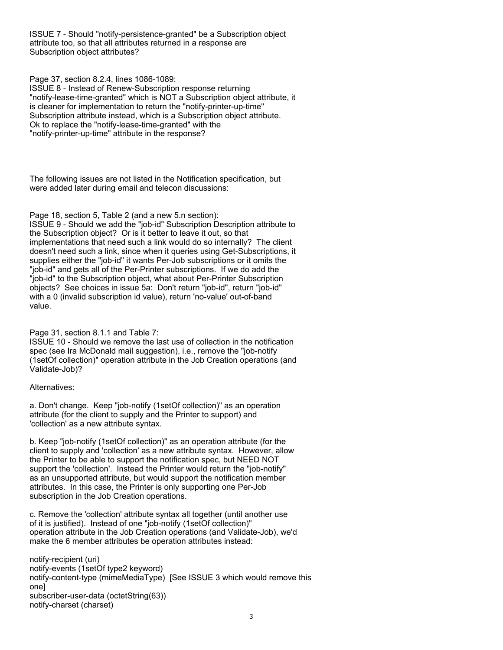ISSUE 7 - Should "notify-persistence-granted" be a Subscription object attribute too, so that all attributes returned in a response are Subscription object attributes?

Page 37, section 8.2.4, lines 1086-1089:

ISSUE 8 - Instead of Renew-Subscription response returning "notify-lease-time-granted" which is NOT a Subscription object attribute, it is cleaner for implementation to return the "notify-printer-up-time" Subscription attribute instead, which is a Subscription object attribute. Ok to replace the "notify-lease-time-granted" with the "notify-printer-up-time" attribute in the response?

The following issues are not listed in the Notification specification, but were added later during email and telecon discussions:

Page 18, section 5, Table 2 (and a new 5.n section): ISSUE 9 - Should we add the "job-id" Subscription Description attribute to the Subscription object? Or is it better to leave it out, so that implementations that need such a link would do so internally? The client doesn't need such a link, since when it queries using Get-Subscriptions, it supplies either the "job-id" it wants Per-Job subscriptions or it omits the "job-id" and gets all of the Per-Printer subscriptions. If we do add the "job-id" to the Subscription object, what about Per-Printer Subscription objects? See choices in issue 5a: Don't return "job-id", return "job-id" with a 0 (invalid subscription id value), return 'no-value' out-of-band value.

Page 31, section 8.1.1 and Table 7:

ISSUE 10 - Should we remove the last use of collection in the notification spec (see Ira McDonald mail suggestion), i.e., remove the "job-notify (1setOf collection)" operation attribute in the Job Creation operations (and Validate-Job)?

## Alternatives:

a. Don't change. Keep "job-notify (1setOf collection)" as an operation attribute (for the client to supply and the Printer to support) and 'collection' as a new attribute syntax.

b. Keep "job-notify (1setOf collection)" as an operation attribute (for the client to supply and 'collection' as a new attribute syntax. However, allow the Printer to be able to support the notification spec, but NEED NOT support the 'collection'. Instead the Printer would return the "job-notify" as an unsupported attribute, but would support the notification member attributes. In this case, the Printer is only supporting one Per-Job subscription in the Job Creation operations.

c. Remove the 'collection' attribute syntax all together (until another use of it is justified). Instead of one "job-notify (1setOf collection)" operation attribute in the Job Creation operations (and Validate-Job), we'd make the 6 member attributes be operation attributes instead:

notify-recipient (uri) notify-events (1setOf type2 keyword) notify-content-type (mimeMediaType) [See ISSUE 3 which would remove this one] subscriber-user-data (octetString(63)) notify-charset (charset)